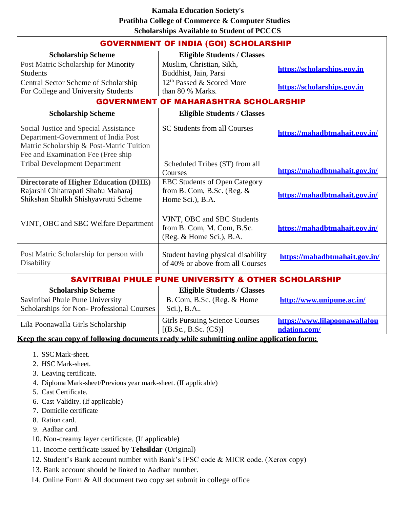## **Kamala Education Society's Pratibha College of Commerce & Computer Studies Scholarships Available to Student of PCCCS**

| <b>GOVERNMENT OF INDIA (GOI) SCHOLARSHIP</b>                                                                                                                   |                                                                                                                             |                               |
|----------------------------------------------------------------------------------------------------------------------------------------------------------------|-----------------------------------------------------------------------------------------------------------------------------|-------------------------------|
| <b>Scholarship Scheme</b>                                                                                                                                      | <b>Eligible Students / Classes</b>                                                                                          |                               |
| Post Matric Scholarship for Minority<br><b>Students</b>                                                                                                        | Muslim, Christian, Sikh,<br>Buddhist, Jain, Parsi                                                                           | https://scholarships.gov.in   |
| Central Sector Scheme of Scholarship<br>For College and University Students                                                                                    | 12 <sup>th</sup> Passed & Scored More<br>than 80 % Marks.                                                                   | https://scholarships.gov.in   |
| <b>GOVERNMENT</b><br>OF MAHARASHTRA SCHOLARSHIP                                                                                                                |                                                                                                                             |                               |
| <b>Scholarship Scheme</b>                                                                                                                                      | <b>Eligible Students / Classes</b>                                                                                          |                               |
| Social Justice and Special Assistance<br>Department-Government of India Post<br>Matric Scholarship & Post-Matric Tuition<br>Fee and Examination Fee (Free ship | SC Students from all Courses                                                                                                | https://mahadbtmahait.gov.in/ |
| <b>Tribal Development Department</b>                                                                                                                           | Scheduled Tribes (ST) from all<br>Courses                                                                                   | https://mahadbtmahait.gov.in/ |
| <b>Directorate of Higher Education (DHE)</b><br>Rajarshi Chhatrapati Shahu Maharaj<br>Shikshan Shulkh Shishyavrutti Scheme                                     | <b>EBC Students of Open Category</b><br>from B. Com, B.Sc. (Reg. $&$<br>Home Sci.), B.A.                                    | https://mahadbtmahait.gov.in/ |
| VJNT, OBC and SBC Welfare Department                                                                                                                           | VJNT, OBC and SBC Students<br>from B. Com, M. Com, B.Sc.<br>(Reg. & Home Sci.), B.A.                                        | https://mahadbtmahait.gov.in/ |
| Post Matric Scholarship for person with<br>Disability                                                                                                          | Student having physical disability<br>of 40% or above from all Courses                                                      | https://mahadbtmahait.gov.in/ |
| <b>SAVITRIBAI PHULE PUNE UNIVERSITY &amp; OTHER SCHOLARSHIP</b>                                                                                                |                                                                                                                             |                               |
| <b>Scholarship Scheme</b>                                                                                                                                      | <b>Eligible Students / Classes</b>                                                                                          |                               |
| Savitribai Phule Pune University<br>Scholarships for Non-Professional Courses                                                                                  | B. Com, B.Sc. (Reg. & Home<br>Sci.), B.A                                                                                    | http://www.unipune.ac.in/     |
| Lila Poonawalla Girls Scholarship                                                                                                                              | <b>Girls Pursuing Science Courses</b><br>$\mathbf{r} \times \mathbf{n}$ $\mathbf{n}$ $\mathbf{n}$ $\mathbf{n}$ $\mathbf{n}$ | https://www.lilapoonawallafou |

**[ndation.com/](https://www.lilapoonawallafoundation.com/)**

[(B.Sc., B.Sc. (CS)] **Keep the scan copy of following documents ready while submitting online application form:**

- 1. SSC Mark-sheet.
- 2. HSC Mark-sheet.
- 3. Leaving certificate.
- 4. Diploma Mark-sheet/Previous year mark-sheet. (If applicable)
- 5. Cast Certificate.
- 6. Cast Validity. (If applicable)
- 7. Domicile certificate
- 8. Ration card.
- 9. Aadhar card.
- 10. Non-creamy layer certificate. (If applicable)
- 11. Income certificate issued by **Tehsildar** (Original)
- 12. Student's Bank account number with Bank's IFSC code & MICR code. (Xerox copy)
- 13. Bank account should be linked to Aadhar number.
- 14. Online Form & All document two copy set submit in college office